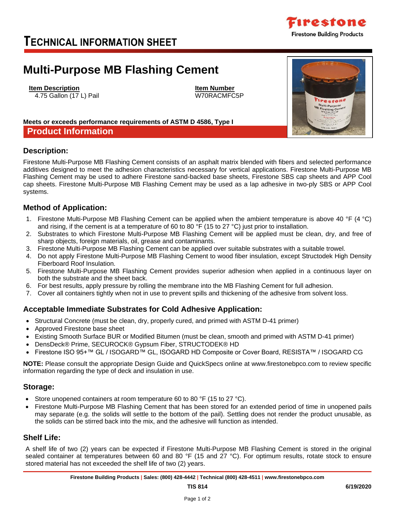## **Acceptable Immediate Substrates for Cold Adhesive Application:**

- Structural Concrete (must be clean, dry, properly cured, and primed with ASTM D-41 primer)
- 
- Existing Smooth Surface BUR or Modified Bitumen (must be clean, smooth and primed with ASTM D-41 primer)
- DensDeck® Prime, SECUROCK® Gypsum Fiber, STRUCTODEK® HD
- Firestone ISO 95+™ GL / ISOGARD™ GL, ISOGARD HD Composite or Cover Board, RESISTA™ / ISOGARD CG

**NOTE:** Please consult the appropriate Design Guide and QuickSpecs online at www.firestonebpco.com to review specific information regarding the type of deck and insulation in use.

## **Storage:**

- Store unopened containers at room temperature 60 to 80 °F (15 to 27 °C).
- Firestone Multi-Purpose MB Flashing Cement that has been stored for an extended period of time in unopened pails may separate (e.g. the solids will settle to the bottom of the pail). Settling does not render the product unusable, as the solids can be stirred back into the mix, and the adhesive will function as intended.

## **Shelf Life:**

A shelf life of two (2) years can be expected if Firestone Multi-Purpose MB Flashing Cement is stored in the original sealed container at temperatures between 60 and 80 °F (15 and 27 °C). For optimum results, rotate stock to ensure stored material has not exceeded the shelf life of two (2) years.

## **Method of Application:**

**Meets or exceeds performance requirements of ASTM D 4586, Type I**

1. Firestone Multi-Purpose MB Flashing Cement can be applied when the ambient temperature is above 40 °F (4 °C) and rising, if the cement is at a temperature of 60 to 80 °F (15 to 27 °C) just prior to installation.

Firestone Multi-Purpose MB Flashing Cement consists of an asphalt matrix blended with fibers and selected performance additives designed to meet the adhesion characteristics necessary for vertical applications. Firestone Multi-Purpose MB Flashing Cement may be used to adhere Firestone sand-backed base sheets, Firestone SBS cap sheets and APP Cool cap sheets. Firestone Multi-Purpose MB Flashing Cement may be used as a lap adhesive in two-ply SBS or APP Cool

- 2. Substrates to which Firestone Multi-Purpose MB Flashing Cement will be applied must be clean, dry, and free of sharp objects, foreign materials, oil, grease and contaminants.
- 3. Firestone Multi-Purpose MB Flashing Cement can be applied over suitable substrates with a suitable trowel.
- 4. Do not apply Firestone Multi-Purpose MB Flashing Cement to wood fiber insulation, except Structodek High Density Fiberboard Roof Insulation.
- 5. Firestone Multi-Purpose MB Flashing Cement provides superior adhesion when applied in a continuous layer on both the substrate and the sheet back.
- 6. For best results, apply pressure by rolling the membrane into the MB Flashing Cement for full adhesion.
- 7. Cover all containers tightly when not in use to prevent spills and thickening of the adhesive from solvent loss.

- 
- 
- 



- Approved Firestone base sheet
- 
- 





# **TECHNICAL INFORMATION SHEET**

# **Multi-Purpose MB Flashing Cement**

**Item Description Item Number**

**Description:**

systems.

4.75 Gallon (17 L) Pail W70RACMFC5P

**Product Information**